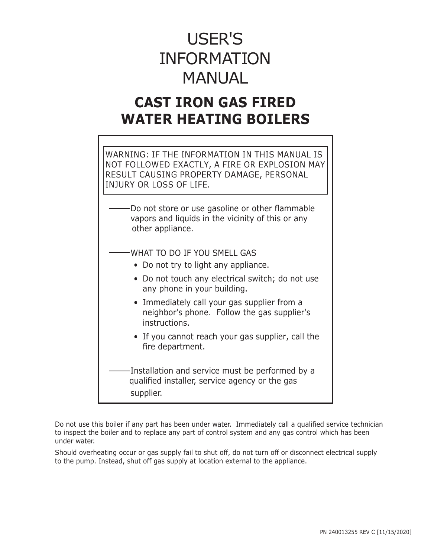# USER'S INFORMATION MANUAL

# **CAST IRON GAS FIRED WATER HEATING BOILERS**

WARNING: IF THE INFORMATION IN THIS MANUAL IS NOT FOLLOWED EXACTLY, A FIRE OR EXPLOSION MAY RESULT CAUSING PROPERTY DAMAGE, PERSONAL INJURY OR LOSS OF LIFE.

Do not store or use gasoline or other flammable vapors and liquids in the vicinity of this or any other appliance.

WHAT TO DO IF YOU SMELL GAS

- Do not try to light any appliance.
- Do not touch any electrical switch; do not use any phone in your building.
- Immediately call your gas supplier from a neighbor's phone. Follow the gas supplier's instructions.
- If you cannot reach your gas supplier, call the fire department.

Installation and service must be performed by a qualified installer, service agency or the gas supplier.

Do not use this boiler if any part has been under water. Immediately call a qualified service technician to inspect the boiler and to replace any part of control system and any gas control which has been under water.

Should overheating occur or gas supply fail to shut off, do not turn off or disconnect electrical supply to the pump. Instead, shut off gas supply at location external to the appliance.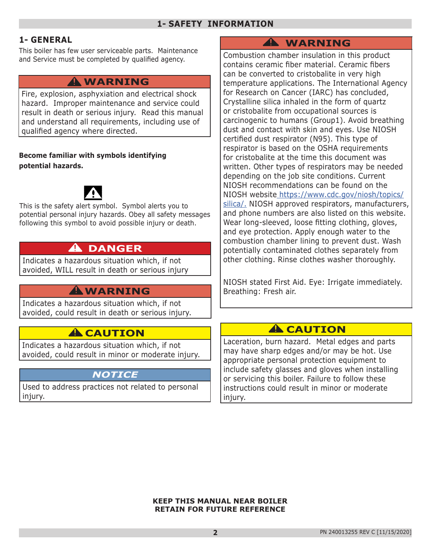# **1- GENERAL**

This boiler has few user serviceable parts. Maintenance and Service must be completed by qualified agency.

# **WARNING !**

Fire, explosion, asphyxiation and electrical shock hazard. Improper maintenance and service could result in death or serious injury. Read this manual and understand all requirements, including use of qualified agency where directed.

### **Become familiar with symbols identifying potential hazards.**



This is the safety alert symbol. Symbol alerts you to potential personal injury hazards. Obey all safety messages following this symbol to avoid possible injury or death.

# **DANGER !**

Indicates a hazardous situation which, if not avoided, WILL result in death or serious injury

# **WARNING !**

Indicates a hazardous situation which, if not avoided, could result in death or serious injury.

# **A** CAUTION

Indicates a hazardous situation which, if not avoided, could result in minor or moderate injury.

# *NOTICE*

Used to address practices not related to personal injury.

# **WARNING !**

Combustion chamber insulation in this product contains ceramic fiber material. Ceramic fibers can be converted to cristobalite in very high temperature applications. The International Agency for Research on Cancer (IARC) has concluded, Crystalline silica inhaled in the form of quartz or cristobalite from occupational sources is carcinogenic to humans (Group1). Avoid breathing dust and contact with skin and eyes. Use NIOSH certified dust respirator (N95). This type of respirator is based on the OSHA requirements for cristobalite at the time this document was written. Other types of respirators may be needed depending on the job site conditions. Current NIOSH recommendations can be found on the NIOSH website [https://www.cdc.gov/niosh/topics/]( http://www.cdc.gov/niosh/homepage.html.) [silica/.]( http://www.cdc.gov/niosh/homepage.html.) NIOSH approved respirators, manufacturers, and phone numbers are also listed on this website. Wear long-sleeved, loose fitting clothing, gloves, and eye protection. Apply enough water to the combustion chamber lining to prevent dust. Wash potentially contaminated clothes separately from other clothing. Rinse clothes washer thoroughly.

NIOSH stated First Aid. Eye: Irrigate immediately. Breathing: Fresh air.

# **A** CAUTION

Laceration, burn hazard. Metal edges and parts may have sharp edges and/or may be hot. Use appropriate personal protection equipment to include safety glasses and gloves when installing or servicing this boiler. Failure to follow these instructions could result in minor or moderate injury.

**KEEP THIS MANUAL NEAR BOILER RETAIN FOR FUTURE REFERENCE**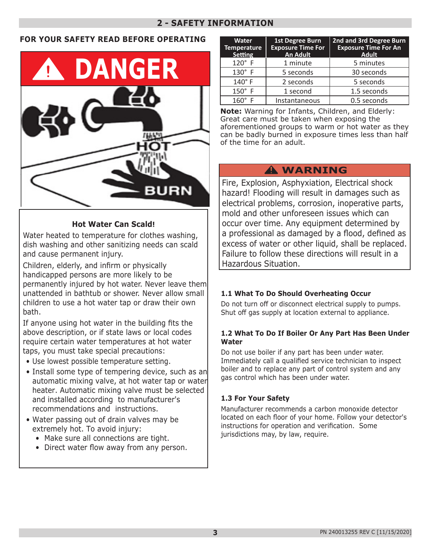# **2 - SAFETY INFORMATION**

### **FOR YOUR SAFETY READ BEFORE OPERATING**



### **Hot Water Can Scald!**

Water heated to temperature for clothes washing, dish washing and other sanitizing needs can scald and cause permanent injury.

Children, elderly, and infirm or physically handicapped persons are more likely to be permanently injured by hot water. Never leave them unattended in bathtub or shower. Never allow small children to use a hot water tap or draw their own bath.

If anyone using hot water in the building fits the above description, or if state laws or local codes require certain water temperatures at hot water taps, you must take special precautions:

- Use lowest possible temperature setting.
- Install some type of tempering device, such as an automatic mixing valve, at hot water tap or water heater. Automatic mixing valve must be selected and installed according to manufacturer's recommendations and instructions.
- Water passing out of drain valves may be extremely hot. To avoid injury:
	- Make sure all connections are tight.
	- Direct water flow away from any person.

| <b>Water</b><br><b>Temperature</b><br><b>Setting</b> | 1st Degree Burn<br><b>Exposure Time For</b><br>An Adult | 2nd and 3rd Degree Burn<br><b>Exposure Time For An</b><br><b>Adult</b> |
|------------------------------------------------------|---------------------------------------------------------|------------------------------------------------------------------------|
| $120^\circ$ F                                        | 1 minute                                                | 5 minutes                                                              |
| $130^\circ$ F                                        | 5 seconds                                               | 30 seconds                                                             |
| 140°F                                                | 2 seconds                                               | 5 seconds                                                              |
| $150^\circ$ F                                        | 1 second                                                | 1.5 seconds                                                            |
| $160^\circ$<br>-F                                    | Instantaneous                                           | 0.5 seconds                                                            |

**Note:** Warning for Infants, Children, and Elderly: Great care must be taken when exposing the aforementioned groups to warm or hot water as they can be badly burned in exposure times less than half of the time for an adult.

# **WARNING !**

Fire, Explosion, Asphyxiation, Electrical shock hazard! Flooding will result in damages such as electrical problems, corrosion, inoperative parts, mold and other unforeseen issues which can occur over time. Any equipment determined by a professional as damaged by a flood, defined as excess of water or other liquid, shall be replaced. Failure to follow these directions will result in a Hazardous Situation.

### **1.1 What To Do Should Overheating Occur**

Do not turn off or disconnect electrical supply to pumps. Shut off gas supply at location external to appliance.

### **1.2 What To Do If Boiler Or Any Part Has Been Under Water**

Do not use boiler if any part has been under water. Immediately call a qualified service technician to inspect boiler and to replace any part of control system and any gas control which has been under water.

### **1.3 For Your Safety**

Manufacturer recommends a carbon monoxide detector located on each floor of your home. Follow your detector's instructions for operation and verification. Some jurisdictions may, by law, require.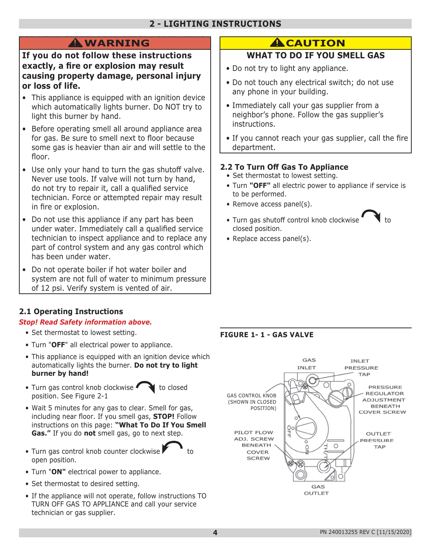# **2 - LIGHTING INSTRUCTIONS**

**If you do not follow these instructions exactly, a fire or explosion may result causing property damage, personal injury or loss of life.**

- This appliance is equipped with an ignition device which automatically lights burner. Do NOT try to light this burner by hand.
- Before operating smell all around appliance area for gas. Be sure to smell next to floor because some gas is heavier than air and will settle to the floor.
- Use only your hand to turn the gas shutoff valve. Never use tools. If valve will not turn by hand, do not try to repair it, call a qualified service technician. Force or attempted repair may result in fire or explosion.
- Do not use this appliance if any part has been under water. Immediately call a qualified service technician to inspect appliance and to replace any part of control system and any gas control which has been under water.
- Do not operate boiler if hot water boiler and system are not full of water to minimum pressure of 12 psi. Verify system is vented of air.

# **2.1 Operating Instructions**

### *Stop! Read Safety information above.*

- Set thermostat to lowest setting.
- Turn "**OFF**" all electrical power to appliance.
- This appliance is equipped with an ignition device which automatically lights the burner. **Do not try to light burner by hand!**
- Turn gas control knob clockwise  $\bullet$  to closed position. See Figure 2-1
- Wait 5 minutes for any gas to clear. Smell for gas, including near floor. If you smell gas, **STOP!** Follow instructions on this page: **"What To Do If You Smell Gas."** If you do **not** smell gas, go to next step.
- Turn gas control knob counter clockwise open position.



- Set thermostat to desired setting.
- If the appliance will not operate, follow instructions TO TURN OFF GAS TO APPLIANCE and call your service technician or gas supplier.

# **EXECUTION**

# **WHAT TO DO IF YOU SMELL GAS**

- Do not try to light any appliance.
- Do not touch any electrical switch; do not use any phone in your building.
- Immediately call your gas supplier from a neighbor's phone. Follow the gas supplier's instructions.
- If you cannot reach your gas supplier, call the fire department.

# **2.2 To Turn Off Gas To Appliance**

- Set thermostat to lowest setting.
- Turn **"OFF"** all electric power to appliance if service is to be performed.
- Remove access panel(s).
- Turn gas shutoff control knob clockwise closed position.
- Replace access panel(s).

# **FIGURE 1- 1 - GAS VALVE**



**4**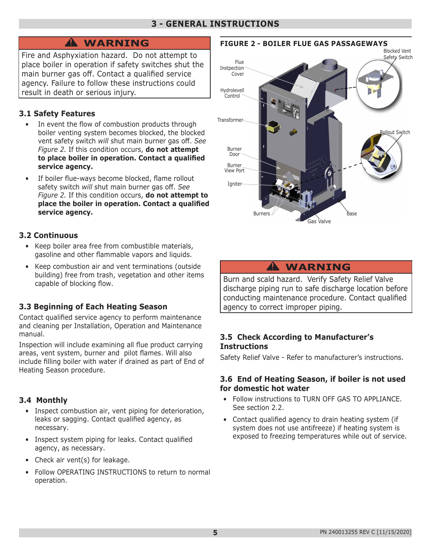### **3 - GENERAL INSTRUCTIONS**

# **WARNING !**

Fire and Asphyxiation hazard. Do not attempt to place boiler in operation if safety switches shut the main burner gas off. Contact a qualified service agency. Failure to follow these instructions could result in death or serious injury.

### **3.1 Safety Features**

- In event the flow of combustion products through boiler venting system becomes blocked, the blocked vent safety switch *will* shut main burner gas off. *See Figure 2.* If this condition occurs, **do not attempt to place boiler in operation. Contact a qualified service agency.**
- If boiler flue-ways become blocked, flame rollout safety switch *will* shut main burner gas off. *See Figure 2.* If this condition occurs, **do not attempt to place the boiler in operation. Contact a qualified service agency.**

### **3.2 Continuous**

- Keep boiler area free from combustible materials, gasoline and other flammable vapors and liquids.
- Keep combustion air and vent terminations (outside building) free from trash, vegetation and other items capable of blocking flow.

# **3.3 Beginning of Each Heating Season**

Contact qualified service agency to perform maintenance and cleaning per Installation, Operation and Maintenance manual.

Inspection will include examining all flue product carrying areas, vent system, burner and pilot flames. Will also include filling boiler with water if drained as part of End of Heating Season procedure.

# **3.4 Monthly**

- Inspect combustion air, vent piping for deterioration, leaks or sagging. Contact qualified agency, as necessary.
- Inspect system piping for leaks. Contact qualified agency, as necessary.
- Check air vent(s) for leakage.
- Follow OPERATING INSTRUCTIONS to return to normal operation.





# **WARNING !**

Burn and scald hazard. Verify Safety Relief Valve discharge piping run to safe discharge location before conducting maintenance procedure. Contact qualified agency to correct improper piping.

### **3.5 Check According to Manufacturer's Instructions**

Safety Relief Valve - Refer to manufacturer's instructions.

### **3.6 End of Heating Season, if boiler is not used for domestic hot water**

- Follow instructions to TURN OFF GAS TO APPLIANCE. See section 2.2.
- Contact qualified agency to drain heating system (if system does not use antifreeze) if heating system is exposed to freezing temperatures while out of service.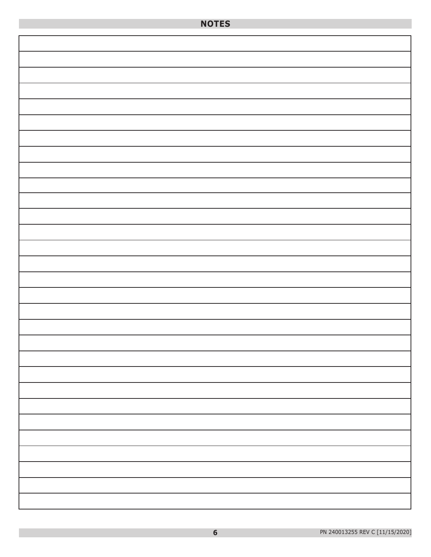| <b>NOTES</b> |  |
|--------------|--|
|              |  |
|              |  |
|              |  |
|              |  |
|              |  |
|              |  |
|              |  |
|              |  |
|              |  |
|              |  |
|              |  |
|              |  |
|              |  |
|              |  |
|              |  |
|              |  |
|              |  |
|              |  |
|              |  |
|              |  |
|              |  |
|              |  |
|              |  |
|              |  |
|              |  |
|              |  |
|              |  |
|              |  |
|              |  |
|              |  |
|              |  |
|              |  |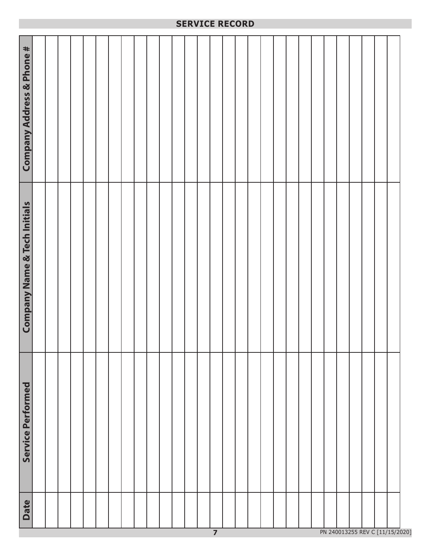|                                               |  |  |  |  |  |  | SERVICE RECORD |  |  |  |  |  |  |  |  |
|-----------------------------------------------|--|--|--|--|--|--|----------------|--|--|--|--|--|--|--|--|
| Company Address & Phone #                     |  |  |  |  |  |  |                |  |  |  |  |  |  |  |  |
| m.<br><b>Company Name &amp; Tech Initials</b> |  |  |  |  |  |  |                |  |  |  |  |  |  |  |  |
| Service Performed                             |  |  |  |  |  |  |                |  |  |  |  |  |  |  |  |
| <b>Date</b>                                   |  |  |  |  |  |  |                |  |  |  |  |  |  |  |  |

**SERVICE RECORD**